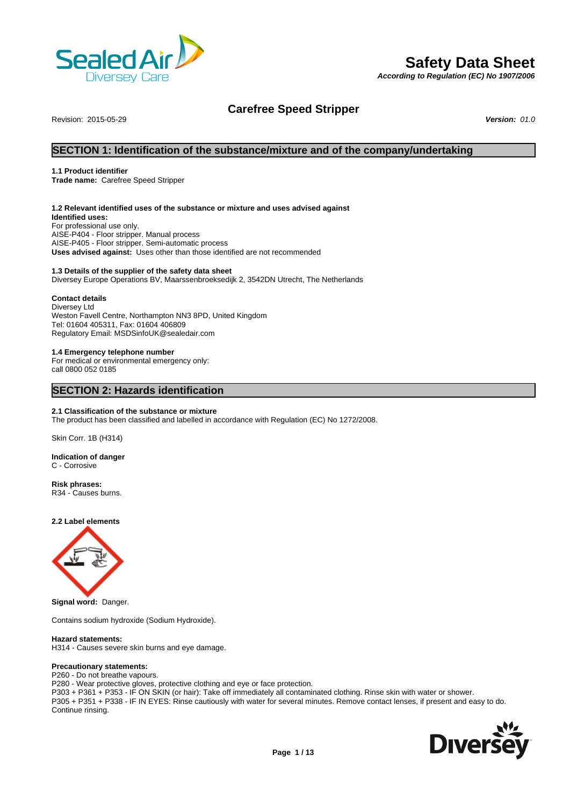

# **Safety Data Sheet**

*According to Regulation (EC) No 1907/2006*

# **Carefree Speed Stripper**

Revision: 2015-05-29 *Version: 01.0*

# **SECTION 1: Identification of the substance/mixture and of the company/undertaking**

#### **1.1 Product identifier**

**Trade name:** Carefree Speed Stripper

#### **1.2 Relevant identified uses of the substance or mixture and uses advised against**

**Identified uses:** For professional use only. AISE-P404 - Floor stripper. Manual process AISE-P405 - Floor stripper. Semi-automatic process **Uses advised against:** Uses other than those identified are not recommended

#### **1.3 Details of the supplier of the safety data sheet**

Diversey Europe Operations BV, Maarssenbroeksedijk 2, 3542DN Utrecht, The Netherlands

#### **Contact details**

Diversey Ltd Weston Favell Centre, Northampton NN3 8PD, United Kingdom Tel: 01604 405311, Fax: 01604 406809 Regulatory Email: MSDSinfoUK@sealedair.com

#### **1.4 Emergency telephone number**

For medical or environmental emergency only: call 0800 052 0185

# **SECTION 2: Hazards identification**

#### **2.1 Classification of the substance or mixture**

The product has been classified and labelled in accordance with Regulation (EC) No 1272/2008.

Skin Corr. 1B (H314)

#### **Indication of danger** C - Corrosive

**Risk phrases:** R34 - Causes burns.

**2.2 Label elements**



**Signal word:** Danger.

Contains sodium hydroxide (Sodium Hydroxide).

#### **Hazard statements:**

H314 - Causes severe skin burns and eye damage.

#### **Precautionary statements:**

P260 - Do not breathe vapours.

P280 - Wear protective gloves, protective clothing and eye or face protection.

P303 + P361 + P353 - IF ON SKIN (or hair): Take off immediately all contaminated clothing. Rinse skin with water or shower.

P305 + P351 + P338 - IF IN EYES: Rinse cautiously with water for several minutes. Remove contact lenses, if present and easy to do. Continue rinsing.

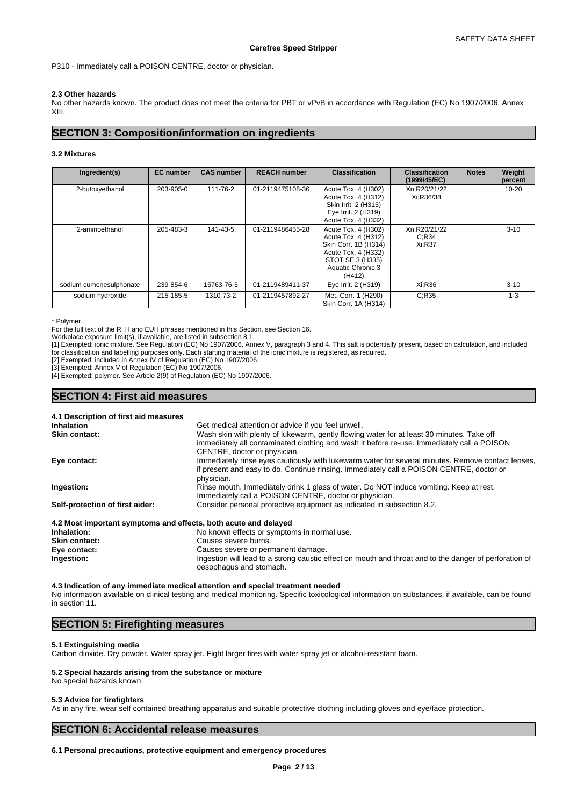P310 - Immediately call a POISON CENTRE, doctor or physician.

#### **2.3 Other hazards**

No other hazards known. The product does not meet the criteria for PBT or vPvB in accordance with Regulation (EC) No 1907/2006, Annex XIII.

# **SECTION 3: Composition/information on ingredients**

### **3.2 Mixtures**

| Ingredient(s)           | <b>EC</b> number | <b>CAS number</b> | <b>REACH number</b> | <b>Classification</b>                                                                                                                        | <b>Classification</b><br>(1999/45/EC) | <b>Notes</b> | Weight<br>percent |
|-------------------------|------------------|-------------------|---------------------|----------------------------------------------------------------------------------------------------------------------------------------------|---------------------------------------|--------------|-------------------|
| 2-butoxyethanol         | 203-905-0        | 111-76-2          | 01-2119475108-36    | Acute Tox. 4 (H302)<br>Acute Tox. 4 (H312)<br>Skin Irrit. 2 (H315)<br>Eye Irrit. 2 (H319)<br>Acute Tox. 4 (H332)                             | Xn;R20/21/22<br>Xi:R36/38             |              | $10 - 20$         |
| 2-aminoethanol          | 205-483-3        | 141-43-5          | 01-2119486455-28    | Acute Tox. 4 (H302)<br>Acute Tox. 4 (H312)<br>Skin Corr. 1B (H314)<br>Acute Tox. 4 (H332)<br>STOT SE 3 (H335)<br>Aquatic Chronic 3<br>(H412) | Xn;R20/21/22<br>C:R34<br>Xi:R37       |              | $3 - 10$          |
| sodium cumenesulphonate | 239-854-6        | 15763-76-5        | 01-2119489411-37    | Eye Irrit. 2 (H319)                                                                                                                          | Xi;R36                                |              | $3 - 10$          |
| sodium hydroxide        | 215-185-5        | 1310-73-2         | 01-2119457892-27    | Met. Corr. 1 (H290)<br>Skin Corr. 1A (H314)                                                                                                  | C:R35                                 |              | $1 - 3$           |

\* Polymer.

For the full text of the R, H and EUH phrases mentioned in this Section, see Section 16.

Workplace exposure limit(s), if available, are listed in subsection 8.1.

[1] Exempted: ionic mixture. See Regulation (EC) No 1907/2006, Annex V, paragraph 3 and 4. This salt is potentially present, based on calculation, and included for classification and labelling purposes only. Each starting material of the ionic mixture is registered, as required.

**Inhalation** Get medical attention or advice if you feel unwell.

[2] Exempted: included in Annex IV of Regulation (EC) No 1907/2006.

[3] Exempted: Annex V of Regulation (EC) No 1907/2006.

[4] Exempted: polymer. See Article 2(9) of Regulation (EC) No 1907/2006.

# **SECTION 4: First aid measures**

# **4.1 Description of first aid measures**

| <b>Innalation</b>                                               | Get medical attention or advice if you leef unwell.                                                                               |
|-----------------------------------------------------------------|-----------------------------------------------------------------------------------------------------------------------------------|
| <b>Skin contact:</b>                                            | Wash skin with plenty of lukewarm, gently flowing water for at least 30 minutes. Take off                                         |
|                                                                 | immediately all contaminated clothing and wash it before re-use. Immediately call a POISON                                        |
|                                                                 | CENTRE, doctor or physician.                                                                                                      |
| Eye contact:                                                    | Immediately rinse eyes cautiously with lukewarm water for several minutes. Remove contact lenses,                                 |
|                                                                 | if present and easy to do. Continue rinsing. Immediately call a POISON CENTRE, doctor or<br>physician.                            |
| Ingestion:                                                      | Rinse mouth. Immediately drink 1 glass of water. Do NOT induce vomiting. Keep at rest.                                            |
|                                                                 | Immediately call a POISON CENTRE, doctor or physician.                                                                            |
| Self-protection of first aider:                                 | Consider personal protective equipment as indicated in subsection 8.2.                                                            |
| 4.2 Most important symptoms and effects, both acute and delayed |                                                                                                                                   |
| Inhalation:                                                     | No known effects or symptoms in normal use.                                                                                       |
| <b>Skin contact:</b>                                            | Causes severe burns.                                                                                                              |
| Eye contact:                                                    | Causes severe or permanent damage.                                                                                                |
| Ingestion:                                                      | Ingestion will lead to a strong caustic effect on mouth and throat and to the danger of perforation of<br>oesophagus and stomach. |

**4.3 Indication of any immediate medical attention and special treatment needed** No information available on clinical testing and medical monitoring. Specific toxicological information on substances, if available, can be found in section 11.

# **SECTION 5: Firefighting measures**

#### **5.1 Extinguishing media**

Carbon dioxide. Dry powder. Water spray jet. Fight larger fires with water spray jet or alcohol-resistant foam.

# **5.2 Special hazards arising from the substance or mixture**

No special hazards known.

#### **5.3 Advice for firefighters**

As in any fire, wear self contained breathing apparatus and suitable protective clothing including gloves and eye/face protection.

# **SECTION 6: Accidental release measures**

# **6.1 Personal precautions, protective equipment and emergency procedures**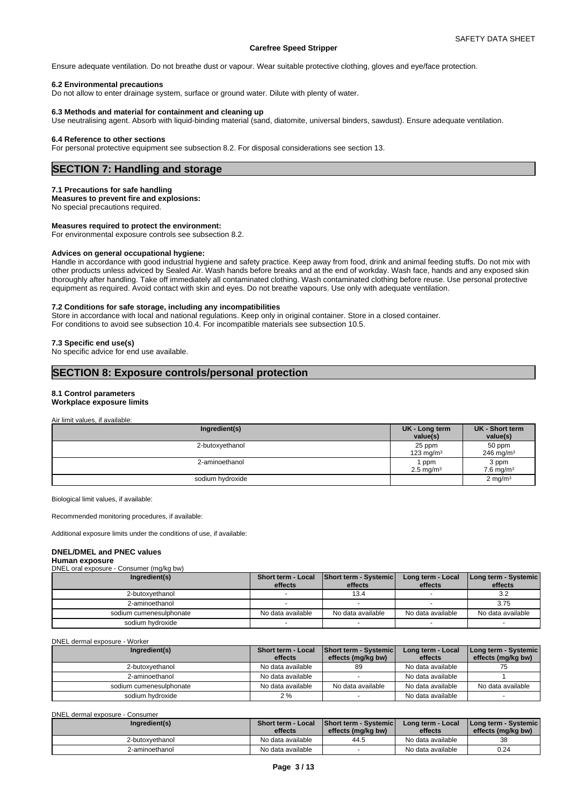Ensure adequate ventilation. Do not breathe dust or vapour. Wear suitable protective clothing, gloves and eye/face protection.

#### **6.2 Environmental precautions**

Do not allow to enter drainage system, surface or ground water. Dilute with plenty of water.

#### **6.3 Methods and material for containment and cleaning up**

Use neutralising agent. Absorb with liquid-binding material (sand, diatomite, universal binders, sawdust). Ensure adequate ventilation.

#### **6.4 Reference to other sections**

For personal protective equipment see subsection 8.2. For disposal considerations see section 13.

# **SECTION 7: Handling and storage**

#### **7.1 Precautions for safe handling**

**Measures to prevent fire and explosions:**

No special precautions required.

### **Measures required to protect the environment:**

For environmental exposure controls see subsection 8.2.

#### **Advices on general occupational hygiene:**

Handle in accordance with good industrial hygiene and safety practice. Keep away from food, drink and animal feeding stuffs. Do not mix with other products unless adviced by Sealed Air. Wash hands before breaks and at the end of workday. Wash face, hands and any exposed skin thoroughly after handling. Take off immediately all contaminated clothing. Wash contaminated clothing before reuse. Use personal protective equipment as required. Avoid contact with skin and eyes. Do not breathe vapours. Use only with adequate ventilation.

#### **7.2 Conditions for safe storage, including any incompatibilities**

Store in accordance with local and national regulations. Keep only in original container. Store in a closed container. For conditions to avoid see subsection 10.4. For incompatible materials see subsection 10.5.

#### **7.3 Specific end use(s)**

No specific advice for end use available.

# **SECTION 8: Exposure controls/personal protection**

#### **8.1 Control parameters**

# **Workplace exposure limits**

Air limit values, if available:

| Ingredient(s)    | UK - Long term<br>value(s)     | UK - Short term<br>value(s)    |
|------------------|--------------------------------|--------------------------------|
| 2-butoxyethanol  | 25 ppm<br>123 ma/m $3$         | 50 ppm<br>246 mg/m $3$         |
| 2-aminoethanol   | ppm<br>$2.5$ mg/m <sup>3</sup> | 3 ppm<br>7.6 mg/m <sup>3</sup> |
| sodium hydroxide |                                | $2 \text{ mg/m}^3$             |

Biological limit values, if available:

Recommended monitoring procedures, if available:

Additional exposure limits under the conditions of use, if available:

#### **DNEL/DMEL and PNEC values**

#### **Human exposure**  $\text{C}$

| <b>DIVEL ORAL OXPOODIO</b><br>$\frac{1}{2}$ |                               |                                         |                              |                                 |
|---------------------------------------------|-------------------------------|-----------------------------------------|------------------------------|---------------------------------|
| Ingredient(s)                               | Short term - Local<br>effects | <b>Short term - Systemic</b><br>effects | Long term - Local<br>effects | Long term - Systemic<br>effects |
| 2-butoxvethanol                             |                               | 13.4                                    |                              | 3.2                             |
| 2-aminoethanol                              |                               |                                         |                              | 3.75                            |
| sodium cumenesulphonate                     | No data available             | No data available                       | No data available            | No data available               |
| sodium hydroxide                            |                               |                                         |                              |                                 |

DNEL dermal exposure - Worker

| Ingredient(s)           | <b>Short term - Local</b><br>effects | <b>Short term - Systemic</b><br>effects (mg/kg bw) | Long term - Local<br>effects | <b>I Long term - Systemic</b><br>effects (mg/kg bw) |
|-------------------------|--------------------------------------|----------------------------------------------------|------------------------------|-----------------------------------------------------|
| 2-butoxvethanol         | No data available                    | 89                                                 | No data available            |                                                     |
| 2-aminoethanol          | No data available                    |                                                    | No data available            |                                                     |
| sodium cumenesulphonate | No data available                    | No data available                                  | No data available            | No data available                                   |
| sodium hvdroxide        | 2 %                                  |                                                    | No data available            |                                                     |

DNEL dermal exposure - Consumer

| Ingredient(s)   | <b>Short term - Local</b><br>effects | Short term - Systemic<br>effects (mg/kg bw) | Long term - Local<br>effects | I Long term - Systemic I<br>effects (mg/kg bw) |  |
|-----------------|--------------------------------------|---------------------------------------------|------------------------------|------------------------------------------------|--|
| 2-butoxyethanol | No data available                    | 44.5                                        | No data available            | 38                                             |  |
| 2-aminoethanol  | No data available                    |                                             | No data available            | 0.24                                           |  |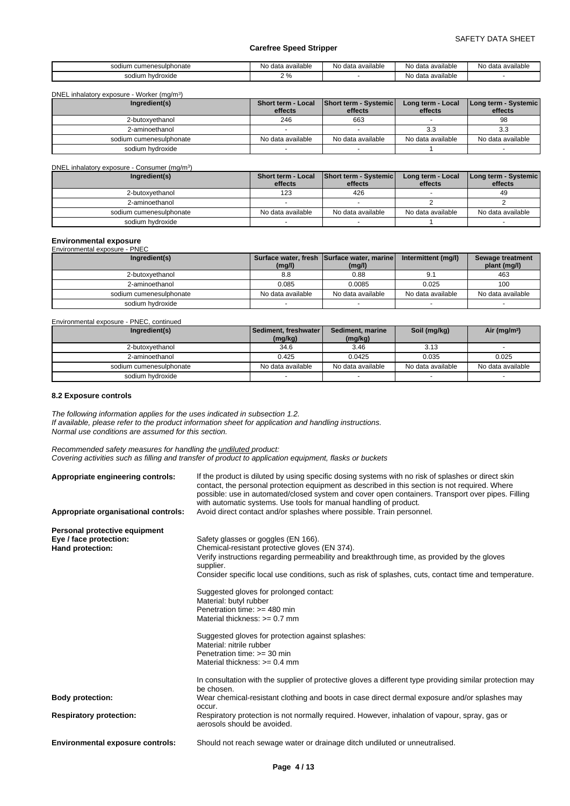| i cumenesulphonate<br>sodium | available<br>No data | a available<br>data<br>- No | No data available             | No data available |
|------------------------------|----------------------|-----------------------------|-------------------------------|-------------------|
| sodium<br>hydroxide          | 70                   |                             | ₩<br>ı available<br>data<br>v |                   |

| DNEL inhalatory exposure - Worker (mg/m <sup>3</sup> ) |  |
|--------------------------------------------------------|--|
|                                                        |  |

| Ingredient(s)           | Short term - Local | Short term - Systemic | Long term - Local | Long term - Systemic |
|-------------------------|--------------------|-----------------------|-------------------|----------------------|
|                         | effects            | effects               | effects           | effects              |
| 2-butoxvethanol         | 246                | 663                   |                   | 98                   |
| 2-aminoethanol          |                    |                       | 3.3               | 3.3                  |
| sodium cumenesulphonate | No data available  | No data available     | No data available | No data available    |
| sodium hvdroxide        |                    |                       |                   |                      |

| DNEL inhalatory exposure - Consumer (mg/m <sup>3</sup> ) |                               |                                         |                              |                                   |
|----------------------------------------------------------|-------------------------------|-----------------------------------------|------------------------------|-----------------------------------|
| Ingredient(s)                                            | Short term - Local<br>effects | <b>Short term - Systemic</b><br>effects | Long term - Local<br>effects | Long term - Systemic  <br>effects |
| 2-butoxvethanol                                          | 123                           | 426                                     |                              | 49                                |
| 2-aminoethanol                                           |                               |                                         |                              |                                   |
| sodium cumenesulphonate                                  | No data available             | No data available                       | No data available            | No data available                 |
| sodium hydroxide                                         |                               |                                         |                              |                                   |

# **Environmental exposure** Environmental exposure - PNEC

| Ingredient(s)           | (mg/l)            | Surface water, fresh Surface water, marine<br>(mg/l) | Intermittent (mg/l) | Sewage treatment<br>plant (mg/l) |
|-------------------------|-------------------|------------------------------------------------------|---------------------|----------------------------------|
| 2-butoxvethanol         | 8.8               | 0.88                                                 |                     | 463                              |
| 2-aminoethanol          | 0.085             | 0.0085                                               | 0.025               | 100                              |
| sodium cumenesulphonate | No data available | No data available                                    | No data available   | No data available                |
| sodium hydroxide        |                   |                                                      |                     |                                  |

| Environmental exposure - PNEC, continued |                                   |                             |                   |                   |
|------------------------------------------|-----------------------------------|-----------------------------|-------------------|-------------------|
| Ingredient(s)                            | Sediment, freshwater  <br>(mg/kg) | Sediment, marine<br>(mg/kg) | Soil (mg/kg)      | Air ( $mg/m3$ )   |
| 2-butoxvethanol                          | 34.6                              | 3.46                        | 3.13              |                   |
| 2-aminoethanol                           | 0.425                             | 0.0425                      | 0.035             | 0.025             |
| sodium cumenesulphonate                  | No data available                 | No data available           | No data available | No data available |
| sodium hydroxide                         |                                   |                             |                   |                   |

# **8.2 Exposure controls**

*The following information applies for the uses indicated in subsection 1.2. If available, please refer to the product information sheet for application and handling instructions. Normal use conditions are assumed for this section.*

*Recommended safety measures for handling the undiluted product: Covering activities such as filling and transfer of product to application equipment, flasks or buckets*

| Appropriate engineering controls:<br>Appropriate organisational controls:          | If the product is diluted by using specific dosing systems with no risk of splashes or direct skin<br>contact, the personal protection equipment as described in this section is not required. Where<br>possible: use in automated/closed system and cover open containers. Transport over pipes. Filling<br>with automatic systems. Use tools for manual handling of product.<br>Avoid direct contact and/or splashes where possible. Train personnel. |
|------------------------------------------------------------------------------------|---------------------------------------------------------------------------------------------------------------------------------------------------------------------------------------------------------------------------------------------------------------------------------------------------------------------------------------------------------------------------------------------------------------------------------------------------------|
|                                                                                    |                                                                                                                                                                                                                                                                                                                                                                                                                                                         |
| Personal protective equipment<br>Eye / face protection:<br><b>Hand protection:</b> | Safety glasses or goggles (EN 166).<br>Chemical-resistant protective gloves (EN 374).<br>Verify instructions regarding permeability and breakthrough time, as provided by the gloves<br>supplier.                                                                                                                                                                                                                                                       |
|                                                                                    | Consider specific local use conditions, such as risk of splashes, cuts, contact time and temperature.                                                                                                                                                                                                                                                                                                                                                   |
|                                                                                    | Suggested gloves for prolonged contact:<br>Material: butyl rubber<br>Penetration time: $>=$ 480 min<br>Material thickness: $>= 0.7$ mm                                                                                                                                                                                                                                                                                                                  |
|                                                                                    | Suggested gloves for protection against splashes:<br>Material: nitrile rubber<br>Penetration time: $>=$ 30 min<br>Material thickness: $>= 0.4$ mm                                                                                                                                                                                                                                                                                                       |
|                                                                                    | In consultation with the supplier of protective gloves a different type providing similar protection may<br>be chosen.                                                                                                                                                                                                                                                                                                                                  |
| <b>Body protection:</b>                                                            | Wear chemical-resistant clothing and boots in case direct dermal exposure and/or splashes may                                                                                                                                                                                                                                                                                                                                                           |
| <b>Respiratory protection:</b>                                                     | occur.<br>Respiratory protection is not normally required. However, inhalation of vapour, spray, gas or<br>aerosols should be avoided.                                                                                                                                                                                                                                                                                                                  |
| <b>Environmental exposure controls:</b>                                            | Should not reach sewage water or drainage ditch undiluted or unneutralised.                                                                                                                                                                                                                                                                                                                                                                             |
|                                                                                    |                                                                                                                                                                                                                                                                                                                                                                                                                                                         |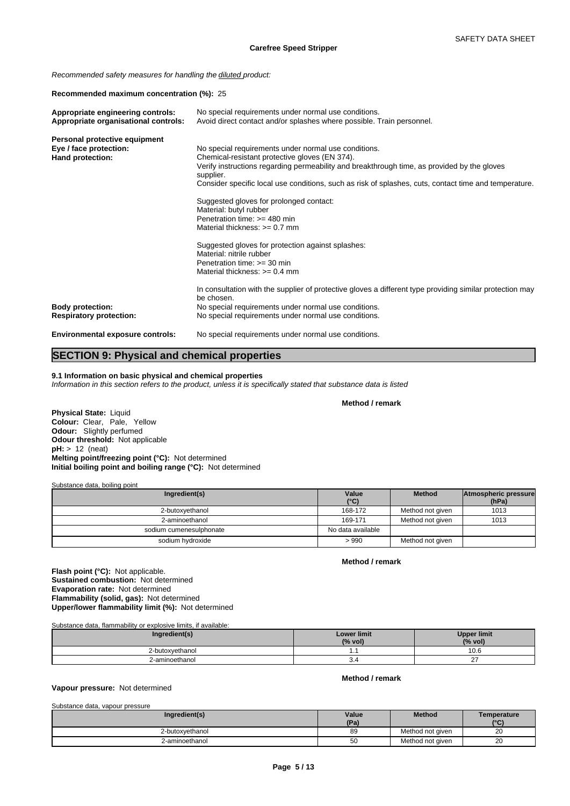*Recommended safety measures for handling the diluted product:*

**Recommended maximum concentration (%):** 25

| Appropriate engineering controls:<br>Appropriate organisational controls: | No special requirements under normal use conditions.<br>Avoid direct contact and/or splashes where possible. Train personnel. |
|---------------------------------------------------------------------------|-------------------------------------------------------------------------------------------------------------------------------|
| Personal protective equipment                                             |                                                                                                                               |
| Eye / face protection:<br>Hand protection:                                | No special requirements under normal use conditions.<br>Chemical-resistant protective gloves (EN 374).                        |
|                                                                           | Verify instructions regarding permeability and breakthrough time, as provided by the gloves<br>supplier.                      |
|                                                                           | Consider specific local use conditions, such as risk of splashes, cuts, contact time and temperature.                         |
|                                                                           | Suggested gloves for prolonged contact:                                                                                       |
|                                                                           | Material: butyl rubber                                                                                                        |
|                                                                           | Penetration time: $>=$ 480 min<br>Material thickness: $>= 0.7$ mm                                                             |
|                                                                           |                                                                                                                               |
|                                                                           | Suggested gloves for protection against splashes:                                                                             |
|                                                                           | Material: nitrile rubber<br>Penetration time: $>=$ 30 min                                                                     |
|                                                                           | Material thickness: $>= 0.4$ mm                                                                                               |
|                                                                           |                                                                                                                               |
|                                                                           | In consultation with the supplier of protective gloves a different type providing similar protection may<br>be chosen.        |
| <b>Body protection:</b>                                                   | No special requirements under normal use conditions.                                                                          |
| <b>Respiratory protection:</b>                                            | No special requirements under normal use conditions.                                                                          |
| <b>Environmental exposure controls:</b>                                   | No special requirements under normal use conditions.                                                                          |
|                                                                           |                                                                                                                               |

# **SECTION 9: Physical and chemical properties**

**9.1 Information on basic physical and chemical properties**

*Information in this section refers to the product, unless it is specifically stated that substance data is listed*

**Method / remark**

**Physical State:** Liquid **Colour:** Clear, Pale, Yellow **Odour:** Slightly perfumed **Odour threshold:** Not applicable **pH:** > 12 (neat) **Melting point/freezing point (°C):** Not determined **Initial boiling point and boiling range (°C):** Not determined

Substance data, boiling point

| Ingredient(s)           | Value             | Method           | Atmospheric pressure |  |
|-------------------------|-------------------|------------------|----------------------|--|
|                         | $(^{\circ}C)$     |                  | (hPa)                |  |
| 2-butoxyethanol         | 168-172           | Method not given | 1013                 |  |
| 2-aminoethanol          | 169-171           | Method not given | 1013                 |  |
| sodium cumenesulphonate | No data available |                  |                      |  |
| sodium hydroxide        | >990              | Method not given |                      |  |

**Method / remark**

**Flash point (°C):** Not applicable. **Sustained combustion:** Not determined **Evaporation rate:** Not determined **Flammability (solid, gas):** Not determined **Upper/lower flammability limit (%):** Not determined

Substance data, flammability or explosive limits, if available:

| Ingredient(s)   | <b>Lower limit</b><br>(% vol) | <b>Upper limit</b><br>(% vol) |
|-----------------|-------------------------------|-------------------------------|
| 2-butoxyethanol | . .                           | 0.6                           |
| 2-aminoethanol  | -0.4                          | $\sim$                        |

# **Method / remark**

**Vapour pressure:** Not determined

| Substance data, vapour pressure |               |                  |                     |
|---------------------------------|---------------|------------------|---------------------|
| Ingredient(s)                   | Value<br>(Pa) | <b>Method</b>    | Temperature<br>(°C) |
| 2-butoxvethanol                 | 89            | Method not given | 20                  |
| 2-aminoethanol                  | 50            | Method not given | 20                  |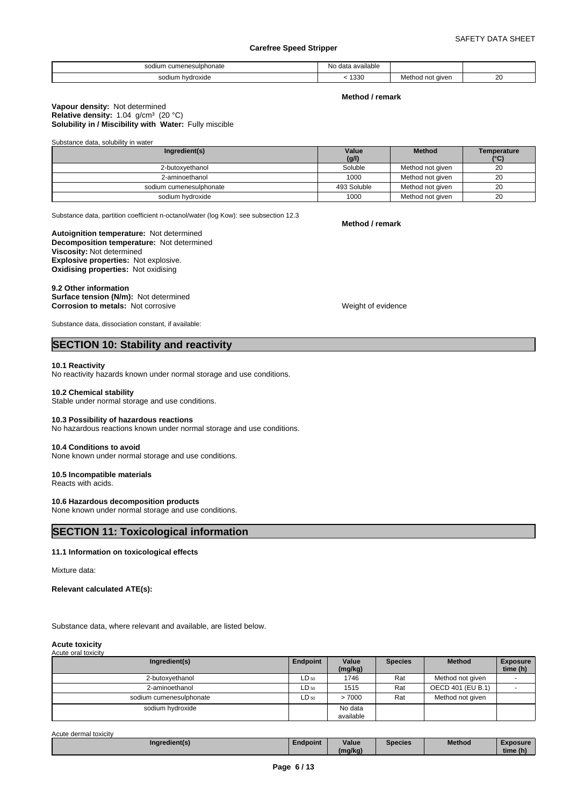| i cumenesulphonate.<br>odium | <br>data available<br>NO ( |                                       |                        |
|------------------------------|----------------------------|---------------------------------------|------------------------|
| sodium<br>hydroxide          | 1330                       | _____<br>not given<br>≞∘tn∩r⊷<br>$-1$ | $\sim$<br>∠∪<br>$\sim$ |

### **Method / remark**

#### **Solubility in / Miscibility with Water: Fully miscible Vapour density:** Not determined Relative density: 1.04 g/cm<sup>3</sup> (20 °C)

Substance data, solubility in water

| Ingredient(s)           | Value<br>(g/l) | <b>Method</b>    | Temperature<br>$(^{\circ}C)$ |
|-------------------------|----------------|------------------|------------------------------|
| 2-butoxvethanol         | Soluble        | Method not given | 20                           |
| 2-aminoethanol          | 1000           | Method not given | 20                           |
| sodium cumenesulphonate | 493 Soluble    | Method not given | 20                           |
| sodium hvdroxide        | 1000           | Method not given | 20                           |

Substance data, partition coefficient n-octanol/water (log Kow): see subsection 12.3

**Decomposition temperature:** Not determined **Autoignition temperature:** Not determined **Viscosity:** Not determined **Explosive properties:** Not explosive. **Oxidising properties:** Not oxidising

#### **9.2 Other information**

**Surface tension (N/m):** Not determined **Corrosion to metals:** Not corrosive Weight of evidence

Substance data, dissociation constant, if available:

# **SECTION 10: Stability and reactivity**

#### **10.1 Reactivity**

No reactivity hazards known under normal storage and use conditions.

#### **10.2 Chemical stability**

Stable under normal storage and use conditions.

#### **10.3 Possibility of hazardous reactions**

No hazardous reactions known under normal storage and use conditions.

# **10.4 Conditions to avoid**

None known under normal storage and use conditions.

#### **10.5 Incompatible materials**

Reacts with acids.

#### **10.6 Hazardous decomposition products**

None known under normal storage and use conditions.

# **SECTION 11: Toxicological information**

#### **11.1 Information on toxicological effects**

Mixture data:

**Relevant calculated ATE(s):**

Substance data, where relevant and available, are listed below.

#### **Acute toxicity** Acute oral toxicity

| Ingredient(s)           | Endpoint  | Value<br>(mg/kg)     | <b>Species</b> | <b>Method</b>     | <b>Exposure</b><br>time (h) |
|-------------------------|-----------|----------------------|----------------|-------------------|-----------------------------|
| 2-butoxyethanol         | $LD_{50}$ | 1746                 | Rat            | Method not given  |                             |
| 2-aminoethanol          | $LD_{50}$ | 1515                 | Rat            | OECD 401 (EU B.1) |                             |
| sodium cumenesulphonate | $LD_{50}$ | >7000                | Rat            | Method not given  |                             |
| sodium hydroxide        |           | No data<br>available |                |                   |                             |

Acute dermal toxicity

| Ingredient(s) | ∠ndpoint | Value   | <b>Species</b> | <b>Method</b> | $x$ posure |  |
|---------------|----------|---------|----------------|---------------|------------|--|
|               |          | (mg/kg) |                |               | time (h)   |  |

**Method / remark**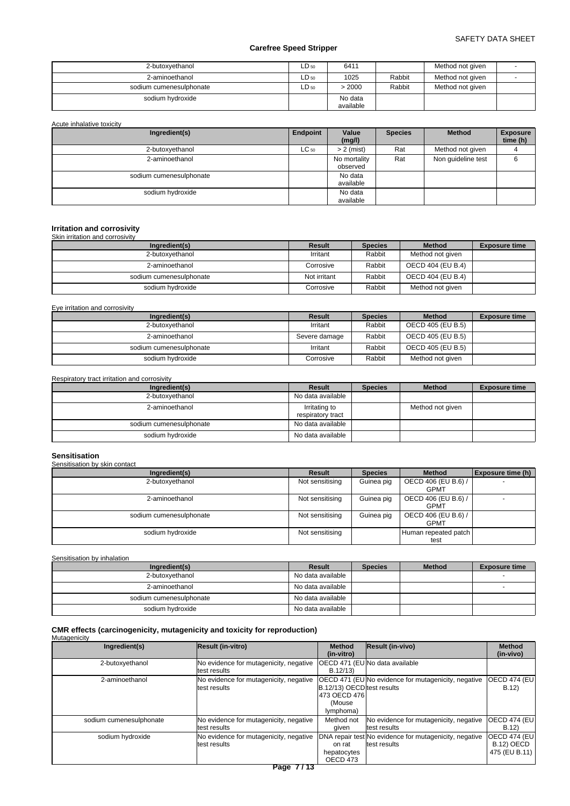| 2-butoxyethanol         | LD 50 | 6411                 |        | Method not given |  |
|-------------------------|-------|----------------------|--------|------------------|--|
| 2-aminoethanol          | LD 50 | 1025                 | Rabbit | Method not given |  |
| sodium cumenesulphonate | LD 50 | > 2000               | Rabbit | Method not given |  |
| sodium hvdroxide        |       | No data<br>available |        |                  |  |

Acute inhalative toxicity

| Ingredient(s)           | Endpoint  | Value<br>(mg/l)          | <b>Species</b> | <b>Method</b>      | <b>Exposure</b><br>time (h) |
|-------------------------|-----------|--------------------------|----------------|--------------------|-----------------------------|
| 2-butoxyethanol         | $LC_{50}$ | $> 2$ (mist)             | Rat            | Method not given   |                             |
| 2-aminoethanol          |           | No mortality<br>observed | Rat            | Non guideline test | 6                           |
| sodium cumenesulphonate |           | No data<br>available     |                |                    |                             |
| sodium hydroxide        |           | No data<br>available     |                |                    |                             |

# **Irritation and corrosivity** Skin irritation and corrosivity

| <u> SINI IIIKUNGI UITU VOITOOITIV</u> |              |                |                   |                      |
|---------------------------------------|--------------|----------------|-------------------|----------------------|
| Ingredient(s)                         | Result       | <b>Species</b> | <b>Method</b>     | <b>Exposure time</b> |
| 2-butoxyethanol                       | Irritant     | Rabbit         | Method not given  |                      |
| 2-aminoethanol                        | Corrosive    | Rabbit         | OECD 404 (EU B.4) |                      |
| sodium cumenesulphonate               | Not irritant | Rabbit         | OECD 404 (EU B.4) |                      |
| sodium hydroxide                      | Corrosive    | Rabbit         | Method not given  |                      |

Eye irritation and corrosivity

| Ingredient(s)           | Result        | <b>Species</b> | <b>Method</b>     | <b>Exposure time</b> |
|-------------------------|---------------|----------------|-------------------|----------------------|
| 2-butoxyethanol         | Irritant      | Rabbit         | OECD 405 (EU B.5) |                      |
| 2-aminoethanol          | Severe damage | Rabbit         | OECD 405 (EU B.5) |                      |
| sodium cumenesulphonate | Irritant      | Rabbit         | OECD 405 (EU B.5) |                      |
| sodium hvdroxide        | Corrosive     | Rabbit         | Method not given  |                      |

Respiratory tract irritation and corrosivity

| Ingredient(s)           | Result                             | <b>Species</b> | <b>Method</b>    | <b>Exposure time</b> |
|-------------------------|------------------------------------|----------------|------------------|----------------------|
| 2-butoxyethanol         | No data available                  |                |                  |                      |
| 2-aminoethanol          | Irritating to<br>respiratory tract |                | Method not given |                      |
| sodium cumenesulphonate | No data available                  |                |                  |                      |
| sodium hydroxide        | No data available                  |                |                  |                      |

# **Sensitisation**

| Sensitisation by skin contact |                 |                |                                    |                          |  |  |  |
|-------------------------------|-----------------|----------------|------------------------------------|--------------------------|--|--|--|
| Ingredient(s)                 | <b>Result</b>   | <b>Species</b> | <b>Method</b>                      | <b>Exposure time (h)</b> |  |  |  |
| 2-butoxyethanol               | Not sensitising | Guinea pig     | OECD 406 (EU B.6) /<br><b>GPMT</b> |                          |  |  |  |
| 2-aminoethanol                | Not sensitising | Guinea pig     | OECD 406 (EU B.6) /<br><b>GPMT</b> |                          |  |  |  |
| sodium cumenesulphonate       | Not sensitising | Guinea pig     | OECD 406 (EU B.6) /<br><b>GPMT</b> |                          |  |  |  |
| sodium hydroxide              | Not sensitising |                | Human repeated patch<br>test       |                          |  |  |  |

# Sensitisation by inhalation

| Ingredient(s)           | Result            | <b>Species</b> | <b>Method</b> | <b>Exposure time</b> |
|-------------------------|-------------------|----------------|---------------|----------------------|
| 2-butoxvethanol         | No data available |                |               |                      |
| 2-aminoethanol          | No data available |                |               |                      |
| sodium cumenesulphonate | No data available |                |               |                      |
| sodium hydroxide        | No data available |                |               |                      |

# **CMR effects (carcinogenicity, mutagenicity and toxicity for reproduction)** Mutagenicity

| Ingredient(s)           | Result (in-vitro)                                      | <b>Method</b><br>(in-vitro)                                         | <b>Result (in-vivo)</b>                                                | <b>Method</b><br>(in-vivo)                                 |
|-------------------------|--------------------------------------------------------|---------------------------------------------------------------------|------------------------------------------------------------------------|------------------------------------------------------------|
| 2-butoxyethanol         | No evidence for mutagenicity, negative<br>test results | B.12/13                                                             | IOECD 471 (EUINo data available                                        |                                                            |
| 2-aminoethanol          | No evidence for mutagenicity, negative<br>test results | B.12/13) OECD test results<br>1473 OECD 4761<br>(Mouse<br>lymphoma) | <b>OECD 471 (EU No evidence for mutagenicity, negative</b>             | <b>OECD 474 (EU)</b><br>B.12                               |
| sodium cumenesulphonate | No evidence for mutagenicity, negative<br>test results | Method not<br>aiven                                                 | No evidence for mutagenicity, negative<br>test results                 | <b>OECD 474 (EU)</b><br>B.12)                              |
| sodium hydroxide        | No evidence for mutagenicity, negative<br>test results | on rat<br>hepatocytes<br>OECD 473                                   | DNA repair test No evidence for mutagenicity, negative<br>test results | <b>OECD 474 (EU)</b><br><b>B.12) OECD</b><br>475 (EU B.11) |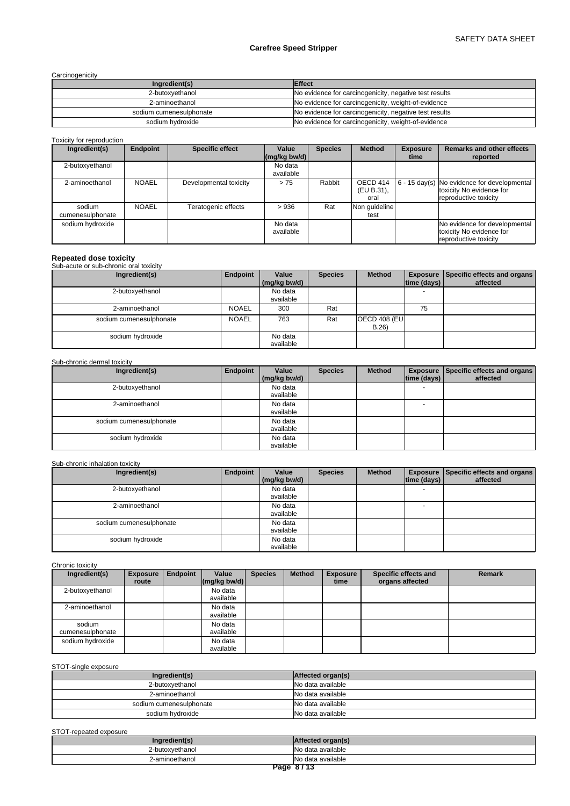**Carcinogenicity** 

| Ingredient(s)           | <b>Effect</b>                                          |
|-------------------------|--------------------------------------------------------|
| 2-butoxvethanol         | No evidence for carcinogenicity, negative test results |
| 2-aminoethanol          | No evidence for carcinogenicity, weight-of-evidence    |
| sodium cumenesulphonate | No evidence for carcinogenicity, negative test results |
| sodium hydroxide        | No evidence for carcinogenicity, weight-of-evidence    |

Toxicity for reproduction

| Ingredient(s)              | Endpoint     | <b>Specific effect</b> | Value<br>$(mg/kg$ bw/d) | <b>Species</b> | <b>Method</b>                  | <b>Exposure</b><br>time | <b>Remarks and other effects</b><br>reported                                                                              |
|----------------------------|--------------|------------------------|-------------------------|----------------|--------------------------------|-------------------------|---------------------------------------------------------------------------------------------------------------------------|
| 2-butoxyethanol            |              |                        | No data<br>available    |                |                                |                         |                                                                                                                           |
| 2-aminoethanol             | <b>NOAEL</b> | Developmental toxicity | >75                     | Rabbit         | OECD 414<br>(EU B.31),<br>oral |                         | $\left  6 - 15 \text{ day(s)} \right $ No evidence for developmental<br>toxicity No evidence for<br>reproductive toxicity |
| sodium<br>cumenesulphonate | <b>NOAEL</b> | Teratogenic effects    | >936                    | Rat            | Non guideline<br>test          |                         |                                                                                                                           |
| sodium hydroxide           |              |                        | No data<br>available    |                |                                |                         | No evidence for developmental<br>toxicity No evidence for<br>reproductive toxicity                                        |

# **Repeated dose toxicity** Sub-acute or sub-chronic oral toxicity

| <b>Oub abaic of sub criterie oral toxicity</b> |              |                       |                |                              |             |                                                             |
|------------------------------------------------|--------------|-----------------------|----------------|------------------------------|-------------|-------------------------------------------------------------|
| Ingredient(s)                                  | Endpoint     | Value<br>(mg/kg bw/d) | <b>Species</b> | <b>Method</b>                | time (days) | <b>Exposure   Specific effects and organs  </b><br>affected |
| 2-butoxyethanol                                |              | No data<br>available  |                |                              |             |                                                             |
| 2-aminoethanol                                 | <b>NOAEL</b> | 300                   | Rat            |                              | 75          |                                                             |
| sodium cumenesulphonate                        | <b>NOAEL</b> | 763                   | Rat            | <b>OECD 408 (EU)</b><br>B.26 |             |                                                             |
| sodium hydroxide                               |              | No data<br>available  |                |                              |             |                                                             |

# Sub-chronic dermal toxicity

| Ingredient(s)           | Endpoint | Value<br>(mg/kg bw/d) | <b>Species</b> | <b>Method</b> | time (days)              | <b>Exposure Specific effects and organs</b><br>affected |
|-------------------------|----------|-----------------------|----------------|---------------|--------------------------|---------------------------------------------------------|
| 2-butoxyethanol         |          | No data<br>available  |                |               | $\overline{\phantom{0}}$ |                                                         |
| 2-aminoethanol          |          | No data<br>available  |                |               | $\overline{\phantom{0}}$ |                                                         |
| sodium cumenesulphonate |          | No data<br>available  |                |               |                          |                                                         |
| sodium hydroxide        |          | No data<br>available  |                |               |                          |                                                         |

# Sub-chronic inhalation toxicity

| Ingredient(s)           | Endpoint | Value<br>(mg/kg bw/d) | <b>Species</b> | <b>Method</b> | time (days)              | <b>Exposure   Specific effects and organs  </b><br>affected |
|-------------------------|----------|-----------------------|----------------|---------------|--------------------------|-------------------------------------------------------------|
| 2-butoxyethanol         |          | No data<br>available  |                |               | $\overline{\phantom{0}}$ |                                                             |
| 2-aminoethanol          |          | No data<br>available  |                |               | $\overline{\phantom{0}}$ |                                                             |
| sodium cumenesulphonate |          | No data<br>available  |                |               |                          |                                                             |
| sodium hydroxide        |          | No data<br>available  |                |               |                          |                                                             |

Chronic toxicity

| Ingredient(s)              | <b>Exposure</b><br>route | <b>Endpoint</b> | Value<br>$\left \frac{\text{mg}}{\text{kg}}\right $ bw/d) | <b>Species</b> | <b>Method</b> | <b>Exposure</b><br>time | Specific effects and<br>organs affected | <b>Remark</b> |
|----------------------------|--------------------------|-----------------|-----------------------------------------------------------|----------------|---------------|-------------------------|-----------------------------------------|---------------|
| 2-butoxyethanol            |                          |                 | No data<br>available                                      |                |               |                         |                                         |               |
| 2-aminoethanol             |                          |                 | No data<br>available                                      |                |               |                         |                                         |               |
| sodium<br>cumenesulphonate |                          |                 | No data<br>available                                      |                |               |                         |                                         |               |
| sodium hydroxide           |                          |                 | No data<br>available                                      |                |               |                         |                                         |               |

# STOT-single exposure

| Ingredient(s)           | Affected organ(s)  |
|-------------------------|--------------------|
| 2-butoxyethanol         | No data available  |
| 2-aminoethanol          | No data available  |
| sodium cumenesulphonate | INo data available |
| sodium hydroxide        | No data available  |

# STOT-repeated exposure

| <b>CONCRETE</b><br>- recte |
|----------------------------|
| INo data available         |
| INo data available         |
| <b>B.L.ATA</b>             |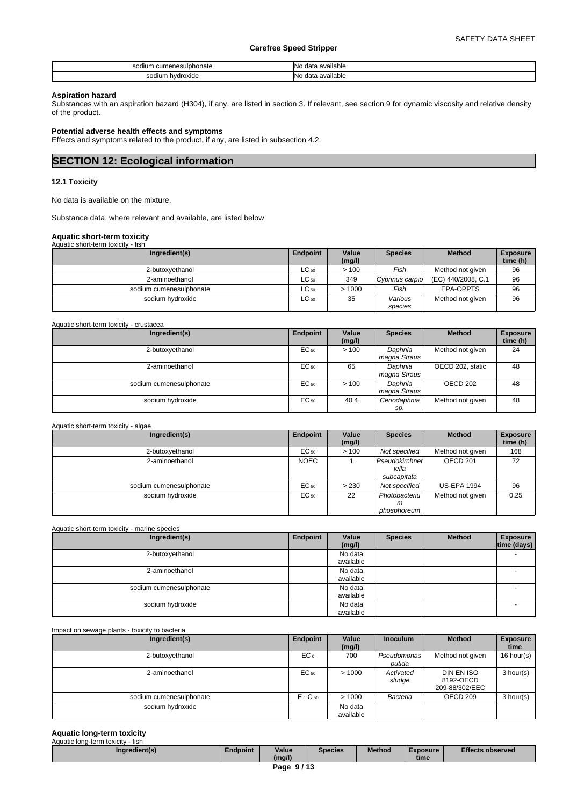| ı cumenesulphonate<br>soc<br>ıum<br>. | <br>available<br>INIC<br>data<br><br>.                        |
|---------------------------------------|---------------------------------------------------------------|
| sodium<br>hydroxide<br>.<br>.         | <br>≅ilable<br><b>N<sub>IO</sub></b><br>ava<br>data<br>.<br>. |

#### **Aspiration hazard**

Substances with an aspiration hazard (H304), if any, are listed in section 3. If relevant, see section 9 for dynamic viscosity and relative density of the product.

### **Potential adverse health effects and symptoms**

Effects and symptoms related to the product, if any, are listed in subsection 4.2.

# **SECTION 12: Ecological information**

# **12.1 Toxicity**

No data is available on the mixture.

Substance data, where relevant and available, are listed below

#### **Aquatic short-term toxicity** Aquatic short-term toxicity - fish

| waano short tonn toxioity<br> |           |                 |                    |                    |                             |
|-------------------------------|-----------|-----------------|--------------------|--------------------|-----------------------------|
| Ingredient(s)                 | Endpoint  | Value<br>(mg/l) | <b>Species</b>     | <b>Method</b>      | <b>Exposure</b><br>time (h) |
| 2-butoxvethanol               | $LC_{50}$ | >100            | Fish               | Method not given   | 96                          |
| 2-aminoethanol                | $LC_{50}$ | 349             | Cyprinus carpio    | (EC) 440/2008, C.1 | 96                          |
| sodium cumenesulphonate       | $LC_{50}$ | >1000           | Fish               | EPA-OPPTS          | 96                          |
| sodium hydroxide              | $LC_{50}$ | 35              | Various<br>species | Method not given   | 96                          |

| Aquatic short-term toxicity - crustacea |          |                 |                         |                  |                             |
|-----------------------------------------|----------|-----------------|-------------------------|------------------|-----------------------------|
| Ingredient(s)                           | Endpoint | Value<br>(mg/l) | <b>Species</b>          | <b>Method</b>    | <b>Exposure</b><br>time (h) |
| 2-butoxyethanol                         | EC 50    | >100            | Daphnia<br>magna Straus | Method not given | 24                          |
| 2-aminoethanol                          | EC 50    | 65              | Daphnia<br>magna Straus | OECD 202, static | 48                          |
| sodium cumenesulphonate                 | EC 50    | >100            | Daphnia<br>magna Straus | OECD 202         | 48                          |
| sodium hydroxide                        | EC 50    | 40.4            | Ceriodaphnia<br>sp.     | Method not given | 48                          |

#### Aquatic short-term toxicity - algae

| Ingredient(s)           | Endpoint    | Value<br>(mg/l) | <b>Species</b>                         | <b>Method</b>      | <b>Exposure</b><br>time (h) |
|-------------------------|-------------|-----------------|----------------------------------------|--------------------|-----------------------------|
| 2-butoxyethanol         | EC 50       | >100            | Not specified                          | Method not given   | 168                         |
| 2-aminoethanol          | <b>NOEC</b> |                 | Pseudokirchner<br>iella<br>subcapitata | OECD 201           | 72                          |
| sodium cumenesulphonate | EC 50       | > 230           | Not specified                          | <b>US-EPA 1994</b> | 96                          |
| sodium hydroxide        | EC 50       | 22              | Photobacteriu<br>m                     | Method not given   | 0.25                        |
|                         |             |                 | phosphoreum                            |                    |                             |

Aquatic short-term toxicity - marine species

| Ingredient(s)           | Endpoint | Value<br>(mg/l)      | <b>Species</b> | <b>Method</b> | <b>Exposure</b><br>time (days) |
|-------------------------|----------|----------------------|----------------|---------------|--------------------------------|
| 2-butoxyethanol         |          | No data<br>available |                |               |                                |
| 2-aminoethanol          |          | No data<br>available |                |               |                                |
| sodium cumenesulphonate |          | No data<br>available |                |               |                                |
| sodium hydroxide        |          | No data<br>available |                |               |                                |

Impact on sewage plants - toxicity to bacteria

| Ingredient(s)           | Endpoint             | Value<br>(mg/l)      | <b>Inoculum</b>       | <b>Method</b>                             | <b>Exposure</b><br>time |
|-------------------------|----------------------|----------------------|-----------------------|-------------------------------------------|-------------------------|
| 2-butoxyethanol         | EC <sub>o</sub>      | 700                  | Pseudomonas<br>putida | Method not given                          | 16 hour(s)              |
| 2-aminoethanol          | EC 50                | >1000                | Activated<br>sludge   | DIN EN ISO<br>8192-OECD<br>209-88/302/EEC | 3 hour(s)               |
| sodium cumenesulphonate | $Er$ C <sub>50</sub> | >1000                | Bacteria              | OECD 209                                  | 3 hour(s)               |
| sodium hydroxide        |                      | No data<br>available |                       |                                           |                         |

#### **Aquatic long-term toxicity** Aquatic long-term toxicity - fish

| Ingredient(s)                       | Endpoint | Value<br>(ma/l) | Species | <b>Method</b> | Exposure<br>time | <b>Effects observed</b> |  |  |  |
|-------------------------------------|----------|-----------------|---------|---------------|------------------|-------------------------|--|--|--|
| $\overline{\phantom{0}}$<br>- - - - |          |                 |         |               |                  |                         |  |  |  |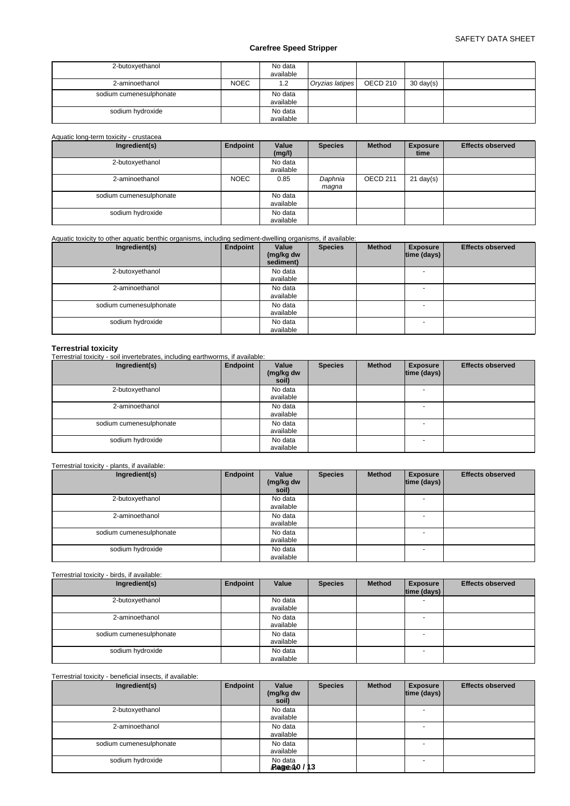| 2-butoxyethanol         |             | No data<br>available |                 |          |                     |  |
|-------------------------|-------------|----------------------|-----------------|----------|---------------------|--|
| 2-aminoethanol          | <b>NOEC</b> | 1.2                  | Oryzias latipes | OECD 210 | $30 \text{ day}(s)$ |  |
| sodium cumenesulphonate |             | No data<br>available |                 |          |                     |  |
| sodium hydroxide        |             | No data<br>available |                 |          |                     |  |

### Aquatic long-term toxicity - crustacea

| Ingredient(s)           | Endpoint    | Value<br>(mg/l)      | <b>Species</b>   | <b>Method</b> | <b>Exposure</b><br>time | <b>Effects observed</b> |
|-------------------------|-------------|----------------------|------------------|---------------|-------------------------|-------------------------|
| 2-butoxyethanol         |             | No data<br>available |                  |               |                         |                         |
| 2-aminoethanol          | <b>NOEC</b> | 0.85                 | Daphnia<br>maqna | OECD 211      | $21 \text{ day}(s)$     |                         |
| sodium cumenesulphonate |             | No data<br>available |                  |               |                         |                         |
| sodium hydroxide        |             | No data<br>available |                  |               |                         |                         |

### Aquatic toxicity to other aquatic benthic organisms, including sediment-dwelling organisms, if available:

| Ingredient(s)           | Endpoint | Value<br>(mg/kg dw<br>sediment) | <b>Species</b> | <b>Method</b> | <b>Exposure</b><br> time (days) | <b>Effects observed</b> |
|-------------------------|----------|---------------------------------|----------------|---------------|---------------------------------|-------------------------|
| 2-butoxyethanol         |          | No data<br>available            |                |               | $\overline{\phantom{0}}$        |                         |
| 2-aminoethanol          |          | No data<br>available            |                |               | $\overline{\phantom{0}}$        |                         |
| sodium cumenesulphonate |          | No data<br>available            |                |               | $\overline{\phantom{0}}$        |                         |
| sodium hydroxide        |          | No data<br>available            |                |               |                                 |                         |

#### **Terrestrial toxicity**

Terrestrial toxicity - soil invertebrates, including earthworms, if available:

| Ingredient(s)           | Endpoint | Value<br>(mg/kg dw<br>soil) | <b>Species</b> | <b>Method</b> | <b>Exposure</b><br> time (days) | <b>Effects observed</b> |
|-------------------------|----------|-----------------------------|----------------|---------------|---------------------------------|-------------------------|
| 2-butoxyethanol         |          | No data<br>available        |                |               | $\overline{\phantom{a}}$        |                         |
| 2-aminoethanol          |          | No data<br>available        |                |               | - -                             |                         |
| sodium cumenesulphonate |          | No data<br>available        |                |               | $\overline{\phantom{a}}$        |                         |
| sodium hydroxide        |          | No data<br>available        |                |               | $\overline{a}$                  |                         |

# Terrestrial toxicity - plants, if available:

| Ingredient(s)           | Endpoint | Value<br>(mg/kg dw<br>soil) | <b>Species</b> | <b>Method</b> | <b>Exposure</b><br>$ time$ (days) $ $ | <b>Effects observed</b> |
|-------------------------|----------|-----------------------------|----------------|---------------|---------------------------------------|-------------------------|
| 2-butoxyethanol         |          | No data<br>available        |                |               |                                       |                         |
| 2-aminoethanol          |          | No data<br>available        |                |               | $\sim$                                |                         |
| sodium cumenesulphonate |          | No data<br>available        |                |               |                                       |                         |
| sodium hydroxide        |          | No data<br>available        |                |               | $\overline{a}$                        |                         |

# Terrestrial toxicity - birds, if available:

| Ingredient(s)           | Endpoint | Value                | <b>Species</b> | <b>Method</b> | <b>Exposure</b><br>$ time$ (days) $ $ | <b>Effects observed</b> |
|-------------------------|----------|----------------------|----------------|---------------|---------------------------------------|-------------------------|
| 2-butoxyethanol         |          | No data<br>available |                |               |                                       |                         |
| 2-aminoethanol          |          | No data<br>available |                |               | $\overline{\phantom{0}}$              |                         |
| sodium cumenesulphonate |          | No data<br>available |                |               | $\overline{\phantom{0}}$              |                         |
| sodium hydroxide        |          | No data<br>available |                |               | $\sim$                                |                         |

# Terrestrial toxicity - beneficial insects, if available:

| Ingredient(s)           | Endpoint | Value<br>(mg/kg dw<br>soil)             | <b>Species</b> | <b>Method</b> | <b>Exposure</b><br> time (days) | <b>Effects observed</b> |
|-------------------------|----------|-----------------------------------------|----------------|---------------|---------------------------------|-------------------------|
| 2-butoxyethanol         |          | No data<br>available                    |                |               |                                 |                         |
| 2-aminoethanol          |          | No data<br>available                    |                |               |                                 |                         |
| sodium cumenesulphonate |          | No data<br>available                    |                |               |                                 |                         |
| sodium hydroxide        |          | No data<br>$\frac{1}{2}$ Ragebite0 / 13 |                |               |                                 |                         |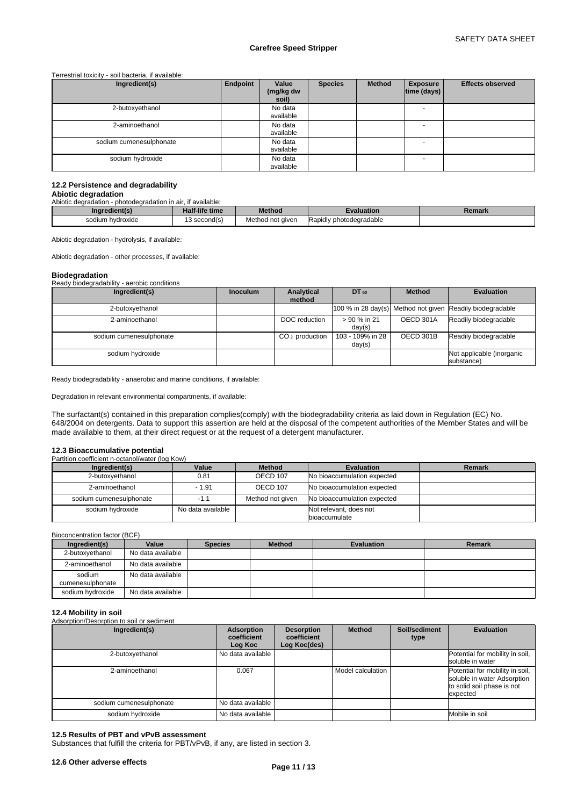Terrestrial toxicity - soil bacteria, if available:

| Ingredient(s)           | Endpoint | Value<br>(mg/kg dw<br>soil) | <b>Species</b> | <b>Method</b> | <b>Exposure</b><br> time (days) | <b>Effects observed</b> |
|-------------------------|----------|-----------------------------|----------------|---------------|---------------------------------|-------------------------|
| 2-butoxyethanol         |          | No data<br>available        |                |               | $\overline{\phantom{a}}$        |                         |
| 2-aminoethanol          |          | No data<br>available        |                |               | $\overline{\phantom{0}}$        |                         |
| sodium cumenesulphonate |          | No data<br>available        |                |               |                                 |                         |
| sodium hydroxide        |          | No data<br>available        |                |               | $\sim$                          |                         |

# **12.2 Persistence and degradability**

# **Abiotic degradation**

| Abiotic degradation - photodegradation in air, if available: |                |                  |                         |               |  |  |
|--------------------------------------------------------------|----------------|------------------|-------------------------|---------------|--|--|
| Ingredient(s)                                                | Half-life time | <b>Method</b>    | Evaluation              | <b>Remark</b> |  |  |
| sodium hydroxide                                             | 13 second(s)   | Method not given | Rapidly photodegradable |               |  |  |

Abiotic degradation - hydrolysis, if available:

Abiotic degradation - other processes, if available:

| <b>Biodegradation</b>                       |                 |                  |                  |               |                                                           |
|---------------------------------------------|-----------------|------------------|------------------|---------------|-----------------------------------------------------------|
| Ready biodegradability - aerobic conditions |                 |                  |                  |               |                                                           |
| Ingredient(s)                               | <b>Inoculum</b> | Analytical       | DT 50            | <b>Method</b> | <b>Evaluation</b>                                         |
|                                             |                 | method           |                  |               |                                                           |
| 2-butoxyethanol                             |                 |                  |                  |               | 100 % in 28 day(s) Method not given Readily biodegradable |
| 2-aminoethanol                              |                 | DOC reduction    | > 90 % in 21     | OECD 301A     | Readily biodegradable                                     |
|                                             |                 |                  | day(s)           |               |                                                           |
| sodium cumenesulphonate                     |                 | $CO2$ production | 103 - 109% in 28 | OECD 301B     | Readily biodegradable                                     |
|                                             |                 |                  | day(s)           |               |                                                           |
| sodium hydroxide                            |                 |                  |                  |               | Not applicable (inorganic                                 |
|                                             |                 |                  |                  |               | substance)                                                |

Ready biodegradability - anaerobic and marine conditions, if available:

Degradation in relevant environmental compartments, if available:

The surfactant(s) contained in this preparation complies(comply) with the biodegradability criteria as laid down in Regulation (EC) No. 648/2004 on detergents. Data to support this assertion are held at the disposal of the competent authorities of the Member States and will be made available to them, at their direct request or at the request of a detergent manufacturer.

#### **12.3 Bioaccumulative potential**

Partition coefficient n-octanol/water (log Kow)

| Ingredient(s)           | Value             | <b>Method</b>    | Evaluation                              | Remark |
|-------------------------|-------------------|------------------|-----------------------------------------|--------|
| 2-butoxyethanol         | 0.81              | OECD 107         | No bioaccumulation expected             |        |
| 2-aminoethanol          | $-1.91$           | OECD 107         | No bioaccumulation expected             |        |
| sodium cumenesulphonate | $-1.1$            | Method not given | No bioaccumulation expected             |        |
| sodium hydroxide        | No data available |                  | Not relevant, does not<br>bioaccumulate |        |

Bioconcentration factor (BCF)

| Ingredient(s)              | Value             | <b>Species</b> | <b>Method</b> | Evaluation | Remark |
|----------------------------|-------------------|----------------|---------------|------------|--------|
| 2-butoxyethanol            | No data available |                |               |            |        |
| 2-aminoethanol             | No data available |                |               |            |        |
| sodium<br>cumenesulphonate | No data available |                |               |            |        |
| sodium hydroxide           | No data available |                |               |            |        |

# **12.4 Mobility in soil**

| 14.7 1110 DIIILY 111 9911<br>Adsorption/Desorption to soil or sediment |                                      |                                                  |                   |                       |                                                                                                          |
|------------------------------------------------------------------------|--------------------------------------|--------------------------------------------------|-------------------|-----------------------|----------------------------------------------------------------------------------------------------------|
| Ingredient(s)                                                          | Adsorption<br>coefficient<br>Log Koc | <b>Desorption</b><br>coefficient<br>Log Koc(des) | <b>Method</b>     | Soil/sediment<br>type | <b>Evaluation</b>                                                                                        |
| 2-butoxyethanol                                                        | No data available                    |                                                  |                   |                       | Potential for mobility in soil,<br>soluble in water                                                      |
| 2-aminoethanol                                                         | 0.067                                |                                                  | Model calculation |                       | Potential for mobility in soil,<br>soluble in water Adsorption<br>to solid soil phase is not<br>expected |
| sodium cumenesulphonate                                                | No data available                    |                                                  |                   |                       |                                                                                                          |
| sodium hydroxide                                                       | No data available                    |                                                  |                   |                       | Mobile in soil                                                                                           |

#### **12.5 Results of PBT and vPvB assessment**

Substances that fulfill the criteria for PBT/vPvB, if any, are listed in section 3.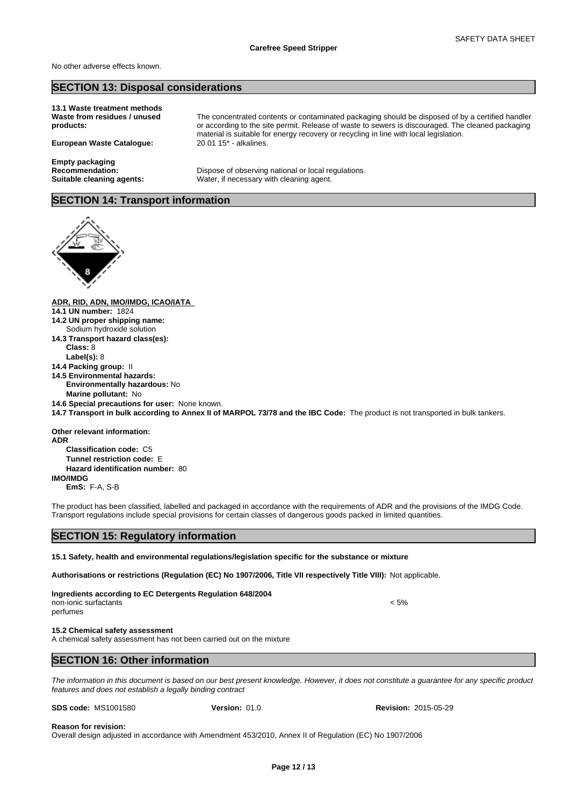No other adverse effects known.

# **SECTION 13: Disposal considerations**

**13.1 Waste treatment methods Waste from residues / unused products:**

**European Waste Catalogue:** 

**Empty packaging**

The concentrated contents or contaminated packaging should be disposed of by a certified handler or according to the site permit. Release of waste to sewers is discouraged. The cleaned packaging material is suitable for energy recovery or recycling in line with local legislation.<br>20 01 15\* - alkalines.

**Recommendation:** Dispose of observing national or local regulations. **Suitable cleaning agents:** Water, if necessary with cleaning agent.

# **SECTION 14: Transport information**



**ADR, RID, ADN, IMO/IMDG, ICAO/IATA 14.1 UN number:** 1824 **14.2 UN proper shipping name: 14.3 Transport hazard class(es): Class:** 8 **Label(s):** 8 **14.4 Packing group:** II **14.5 Environmental hazards: Environmentally hazardous:** No **Marine pollutant:** No **14.6 Special precautions for user:** None known. **14.7 Transport in bulk according to Annex II of MARPOL 73/78 and the IBC Code:** The product is not transported in bulk tankers. **Other relevant information: ADR Classification code:** C5 **Tunnel restriction code:** E **Hazard identification number:** 80 **IMO/IMDG EmS:** F-A, S-B The product has been classified, labelled and packaged in accordance with the requirements of ADR and the provisions of the IMDG Code. Transport regulations include special provisions for certain classes of dangerous goods packed in limited quantities. **SECTION 15: Regulatory information 15.1 Safety, health and environmental regulations/legislation specific for the substance or mixture Authorisations or restrictions (Regulation (EC) No 1907/2006, Title VII respectively Title VIII):** Not applicable. **Ingredients according to EC Detergents Regulation 648/2004** non-ionic surfactants < 5% perfumes Sodium hydroxide solution

#### **15.2 Chemical safety assessment**

A chemical safety assessment has not been carried out on the mixture

# **SECTION 16: Other information**

*The information in this document is based on our best present knowledge. However, it does not constitute a guarantee for any specific product features and does not establish a legally binding contract*

| <b>SDS code: MS1001580</b> |  |
|----------------------------|--|
|                            |  |

**Version:** 01.0 **Revision:** 2015-05-29

#### **Reason for revision:**

Overall design adjusted in accordance with Amendment 453/2010, Annex II of Regulation (EC) No 1907/2006